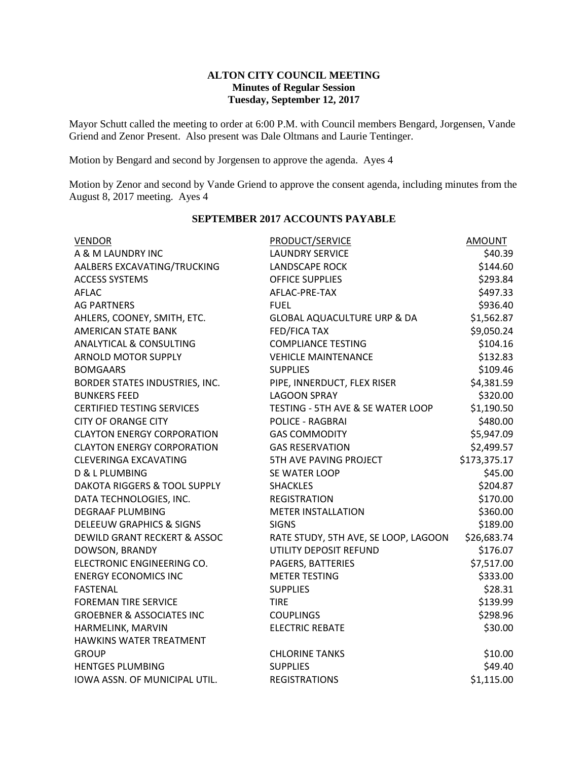### **ALTON CITY COUNCIL MEETING Minutes of Regular Session Tuesday, September 12, 2017**

Mayor Schutt called the meeting to order at 6:00 P.M. with Council members Bengard, Jorgensen, Vande Griend and Zenor Present. Also present was Dale Oltmans and Laurie Tentinger.

Motion by Bengard and second by Jorgensen to approve the agenda. Ayes 4

Motion by Zenor and second by Vande Griend to approve the consent agenda, including minutes from the August 8, 2017 meeting. Ayes 4

| PRODUCT/SERVICE        | <b>AMOUNT</b>                                                                                                                                                                                                                                                                                                                                                                                                                                                                                                                                                                                                                                                                                                                                      |
|------------------------|----------------------------------------------------------------------------------------------------------------------------------------------------------------------------------------------------------------------------------------------------------------------------------------------------------------------------------------------------------------------------------------------------------------------------------------------------------------------------------------------------------------------------------------------------------------------------------------------------------------------------------------------------------------------------------------------------------------------------------------------------|
| <b>LAUNDRY SERVICE</b> | \$40.39                                                                                                                                                                                                                                                                                                                                                                                                                                                                                                                                                                                                                                                                                                                                            |
|                        | \$144.60                                                                                                                                                                                                                                                                                                                                                                                                                                                                                                                                                                                                                                                                                                                                           |
|                        | \$293.84                                                                                                                                                                                                                                                                                                                                                                                                                                                                                                                                                                                                                                                                                                                                           |
|                        | \$497.33                                                                                                                                                                                                                                                                                                                                                                                                                                                                                                                                                                                                                                                                                                                                           |
|                        | \$936.40                                                                                                                                                                                                                                                                                                                                                                                                                                                                                                                                                                                                                                                                                                                                           |
|                        | \$1,562.87                                                                                                                                                                                                                                                                                                                                                                                                                                                                                                                                                                                                                                                                                                                                         |
|                        | \$9,050.24                                                                                                                                                                                                                                                                                                                                                                                                                                                                                                                                                                                                                                                                                                                                         |
|                        | \$104.16                                                                                                                                                                                                                                                                                                                                                                                                                                                                                                                                                                                                                                                                                                                                           |
|                        | \$132.83                                                                                                                                                                                                                                                                                                                                                                                                                                                                                                                                                                                                                                                                                                                                           |
|                        | \$109.46                                                                                                                                                                                                                                                                                                                                                                                                                                                                                                                                                                                                                                                                                                                                           |
|                        | \$4,381.59                                                                                                                                                                                                                                                                                                                                                                                                                                                                                                                                                                                                                                                                                                                                         |
|                        | \$320.00                                                                                                                                                                                                                                                                                                                                                                                                                                                                                                                                                                                                                                                                                                                                           |
|                        | \$1,190.50                                                                                                                                                                                                                                                                                                                                                                                                                                                                                                                                                                                                                                                                                                                                         |
|                        | \$480.00                                                                                                                                                                                                                                                                                                                                                                                                                                                                                                                                                                                                                                                                                                                                           |
|                        | \$5,947.09                                                                                                                                                                                                                                                                                                                                                                                                                                                                                                                                                                                                                                                                                                                                         |
|                        | \$2,499.57                                                                                                                                                                                                                                                                                                                                                                                                                                                                                                                                                                                                                                                                                                                                         |
| 5TH AVE PAVING PROJECT | \$173,375.17                                                                                                                                                                                                                                                                                                                                                                                                                                                                                                                                                                                                                                                                                                                                       |
|                        | \$45.00                                                                                                                                                                                                                                                                                                                                                                                                                                                                                                                                                                                                                                                                                                                                            |
|                        | \$204.87                                                                                                                                                                                                                                                                                                                                                                                                                                                                                                                                                                                                                                                                                                                                           |
|                        | \$170.00                                                                                                                                                                                                                                                                                                                                                                                                                                                                                                                                                                                                                                                                                                                                           |
|                        | \$360.00                                                                                                                                                                                                                                                                                                                                                                                                                                                                                                                                                                                                                                                                                                                                           |
|                        | \$189.00                                                                                                                                                                                                                                                                                                                                                                                                                                                                                                                                                                                                                                                                                                                                           |
|                        | \$26,683.74                                                                                                                                                                                                                                                                                                                                                                                                                                                                                                                                                                                                                                                                                                                                        |
|                        | \$176.07                                                                                                                                                                                                                                                                                                                                                                                                                                                                                                                                                                                                                                                                                                                                           |
|                        | \$7,517.00                                                                                                                                                                                                                                                                                                                                                                                                                                                                                                                                                                                                                                                                                                                                         |
| <b>METER TESTING</b>   | \$333.00                                                                                                                                                                                                                                                                                                                                                                                                                                                                                                                                                                                                                                                                                                                                           |
|                        | \$28.31                                                                                                                                                                                                                                                                                                                                                                                                                                                                                                                                                                                                                                                                                                                                            |
|                        | \$139.99                                                                                                                                                                                                                                                                                                                                                                                                                                                                                                                                                                                                                                                                                                                                           |
|                        | \$298.96                                                                                                                                                                                                                                                                                                                                                                                                                                                                                                                                                                                                                                                                                                                                           |
|                        | \$30.00                                                                                                                                                                                                                                                                                                                                                                                                                                                                                                                                                                                                                                                                                                                                            |
|                        |                                                                                                                                                                                                                                                                                                                                                                                                                                                                                                                                                                                                                                                                                                                                                    |
|                        | \$10.00                                                                                                                                                                                                                                                                                                                                                                                                                                                                                                                                                                                                                                                                                                                                            |
|                        | \$49.40                                                                                                                                                                                                                                                                                                                                                                                                                                                                                                                                                                                                                                                                                                                                            |
|                        | \$1,115.00                                                                                                                                                                                                                                                                                                                                                                                                                                                                                                                                                                                                                                                                                                                                         |
|                        | <b>LANDSCAPE ROCK</b><br><b>OFFICE SUPPLIES</b><br>AFLAC-PRE-TAX<br><b>FUEL</b><br><b>GLOBAL AQUACULTURE URP &amp; DA</b><br>FED/FICA TAX<br><b>COMPLIANCE TESTING</b><br><b>VEHICLE MAINTENANCE</b><br><b>SUPPLIES</b><br>PIPE, INNERDUCT, FLEX RISER<br><b>LAGOON SPRAY</b><br>TESTING - 5TH AVE & SE WATER LOOP<br><b>POLICE - RAGBRAI</b><br><b>GAS COMMODITY</b><br><b>GAS RESERVATION</b><br>SE WATER LOOP<br><b>SHACKLES</b><br><b>REGISTRATION</b><br><b>METER INSTALLATION</b><br><b>SIGNS</b><br>RATE STUDY, 5TH AVE, SE LOOP, LAGOON<br>UTILITY DEPOSIT REFUND<br>PAGERS, BATTERIES<br><b>SUPPLIES</b><br><b>TIRE</b><br><b>COUPLINGS</b><br><b>ELECTRIC REBATE</b><br><b>CHLORINE TANKS</b><br><b>SUPPLIES</b><br><b>REGISTRATIONS</b> |

## **SEPTEMBER 2017 ACCOUNTS PAYABLE**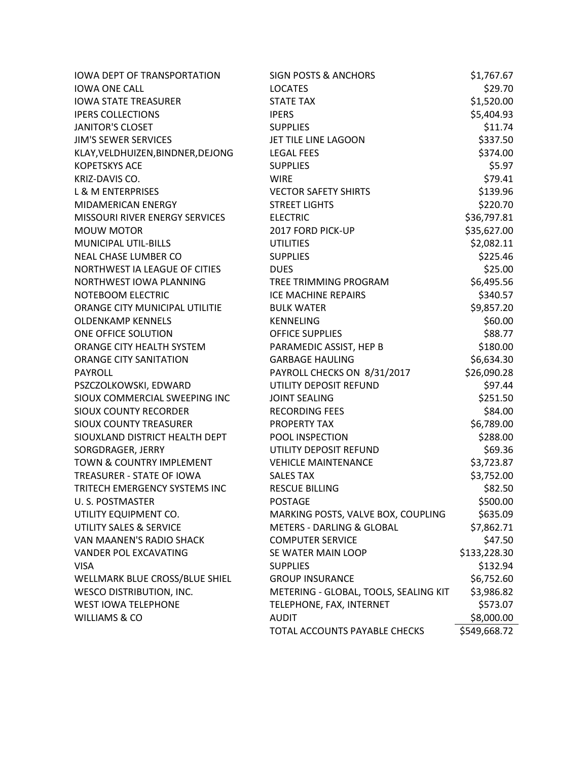| <b>IOWA DEPT OF TRANSPORTATION</b> | <b>SIGN POSTS &amp; ANCHORS</b>       | \$1,767.67   |
|------------------------------------|---------------------------------------|--------------|
| <b>IOWA ONE CALL</b>               | <b>LOCATES</b>                        | \$29.70      |
| <b>IOWA STATE TREASURER</b>        | <b>STATE TAX</b>                      | \$1,520.00   |
| <b>IPERS COLLECTIONS</b>           | <b>IPERS</b>                          | \$5,404.93   |
| <b>JANITOR'S CLOSET</b>            | <b>SUPPLIES</b>                       | \$11.74      |
| <b>JIM'S SEWER SERVICES</b>        | JET TILE LINE LAGOON                  | \$337.50     |
| KLAY, VELDHUIZEN, BINDNER, DEJONG  | <b>LEGAL FEES</b>                     | \$374.00     |
| <b>KOPETSKYS ACE</b>               | <b>SUPPLIES</b>                       | \$5.97       |
| KRIZ-DAVIS CO.                     | <b>WIRE</b>                           | \$79.41      |
| <b>L &amp; M ENTERPRISES</b>       | <b>VECTOR SAFETY SHIRTS</b>           | \$139.96     |
| MIDAMERICAN ENERGY                 | <b>STREET LIGHTS</b>                  | \$220.70     |
| MISSOURI RIVER ENERGY SERVICES     | <b>ELECTRIC</b>                       | \$36,797.81  |
| <b>MOUW MOTOR</b>                  | 2017 FORD PICK-UP                     | \$35,627.00  |
| MUNICIPAL UTIL-BILLS               | <b>UTILITIES</b>                      | \$2,082.11   |
| NEAL CHASE LUMBER CO               | <b>SUPPLIES</b>                       | \$225.46     |
| NORTHWEST IA LEAGUE OF CITIES      | <b>DUES</b>                           | \$25.00      |
| NORTHWEST IOWA PLANNING            | TREE TRIMMING PROGRAM                 | \$6,495.56   |
| NOTEBOOM ELECTRIC                  | <b>ICE MACHINE REPAIRS</b>            | \$340.57     |
| ORANGE CITY MUNICIPAL UTILITIE     | <b>BULK WATER</b>                     | \$9,857.20   |
| <b>OLDENKAMP KENNELS</b>           | <b>KENNELING</b>                      | \$60.00      |
| ONE OFFICE SOLUTION                | <b>OFFICE SUPPLIES</b>                | \$88.77      |
| ORANGE CITY HEALTH SYSTEM          | PARAMEDIC ASSIST, HEP B               | \$180.00     |
| <b>ORANGE CITY SANITATION</b>      | <b>GARBAGE HAULING</b>                | \$6,634.30   |
| <b>PAYROLL</b>                     | PAYROLL CHECKS ON 8/31/2017           | \$26,090.28  |
| PSZCZOLKOWSKI, EDWARD              | UTILITY DEPOSIT REFUND                | \$97.44      |
| SIOUX COMMERCIAL SWEEPING INC      | <b>JOINT SEALING</b>                  | \$251.50     |
| <b>SIOUX COUNTY RECORDER</b>       | RECORDING FEES                        | \$84.00      |
| <b>SIOUX COUNTY TREASURER</b>      | PROPERTY TAX                          | \$6,789.00   |
| SIOUXLAND DISTRICT HEALTH DEPT     | POOL INSPECTION                       | \$288.00     |
| SORGDRAGER, JERRY                  | UTILITY DEPOSIT REFUND                | \$69.36      |
| TOWN & COUNTRY IMPLEMENT           | <b>VEHICLE MAINTENANCE</b>            | \$3,723.87   |
| TREASURER - STATE OF IOWA          | <b>SALES TAX</b>                      | \$3,752.00   |
| TRITECH EMERGENCY SYSTEMS INC      | <b>RESCUE BILLING</b>                 | \$82.50      |
| U.S. POSTMASTER                    | POSTAGE                               | \$500.00     |
| UTILITY EQUIPMENT CO.              | MARKING POSTS, VALVE BOX, COUPLING    | \$635.09     |
| UTILITY SALES & SERVICE            | <b>METERS - DARLING &amp; GLOBAL</b>  | \$7,862.71   |
| VAN MAANEN'S RADIO SHACK           | <b>COMPUTER SERVICE</b>               | \$47.50      |
| <b>VANDER POL EXCAVATING</b>       | SE WATER MAIN LOOP                    | \$133,228.30 |
| <b>VISA</b>                        | <b>SUPPLIES</b>                       | \$132.94     |
| WELLMARK BLUE CROSS/BLUE SHIEL     | <b>GROUP INSURANCE</b>                | \$6,752.60   |
| <b>WESCO DISTRIBUTION, INC.</b>    | METERING - GLOBAL, TOOLS, SEALING KIT | \$3,986.82   |
| <b>WEST IOWA TELEPHONE</b>         | TELEPHONE, FAX, INTERNET              | \$573.07     |
| WILLIAMS & CO                      | <b>AUDIT</b>                          | \$8,000.00   |
|                                    | TOTAL ACCOUNTS PAYABLE CHECKS         | \$549,668.72 |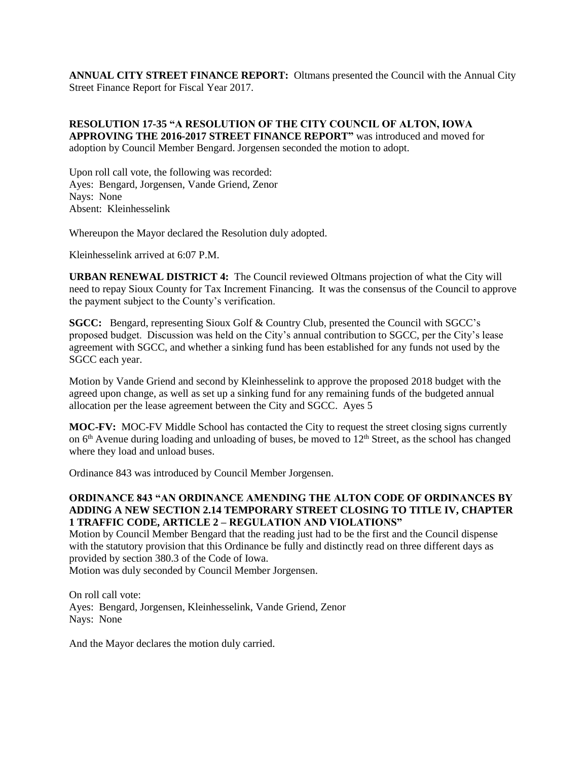**ANNUAL CITY STREET FINANCE REPORT:** Oltmans presented the Council with the Annual City Street Finance Report for Fiscal Year 2017.

**RESOLUTION 17-35 "A RESOLUTION OF THE CITY COUNCIL OF ALTON, IOWA APPROVING THE 2016-2017 STREET FINANCE REPORT"** was introduced and moved for adoption by Council Member Bengard. Jorgensen seconded the motion to adopt.

Upon roll call vote, the following was recorded: Ayes: Bengard, Jorgensen, Vande Griend, Zenor Nays: None Absent: Kleinhesselink

Whereupon the Mayor declared the Resolution duly adopted.

Kleinhesselink arrived at 6:07 P.M.

**URBAN RENEWAL DISTRICT 4:** The Council reviewed Oltmans projection of what the City will need to repay Sioux County for Tax Increment Financing. It was the consensus of the Council to approve the payment subject to the County's verification.

**SGCC:** Bengard, representing Sioux Golf & Country Club, presented the Council with SGCC's proposed budget. Discussion was held on the City's annual contribution to SGCC, per the City's lease agreement with SGCC, and whether a sinking fund has been established for any funds not used by the SGCC each year.

Motion by Vande Griend and second by Kleinhesselink to approve the proposed 2018 budget with the agreed upon change, as well as set up a sinking fund for any remaining funds of the budgeted annual allocation per the lease agreement between the City and SGCC. Ayes 5

**MOC-FV:** MOC-FV Middle School has contacted the City to request the street closing signs currently on  $6<sup>th</sup>$  Avenue during loading and unloading of buses, be moved to  $12<sup>th</sup>$  Street, as the school has changed where they load and unload buses.

Ordinance 843 was introduced by Council Member Jorgensen.

#### **ORDINANCE 843 "AN ORDINANCE AMENDING THE ALTON CODE OF ORDINANCES BY ADDING A NEW SECTION 2.14 TEMPORARY STREET CLOSING TO TITLE IV, CHAPTER 1 TRAFFIC CODE, ARTICLE 2 – REGULATION AND VIOLATIONS"**

Motion by Council Member Bengard that the reading just had to be the first and the Council dispense with the statutory provision that this Ordinance be fully and distinctly read on three different days as provided by section 380.3 of the Code of Iowa.

Motion was duly seconded by Council Member Jorgensen.

On roll call vote: Ayes: Bengard, Jorgensen, Kleinhesselink, Vande Griend, Zenor Nays: None

And the Mayor declares the motion duly carried.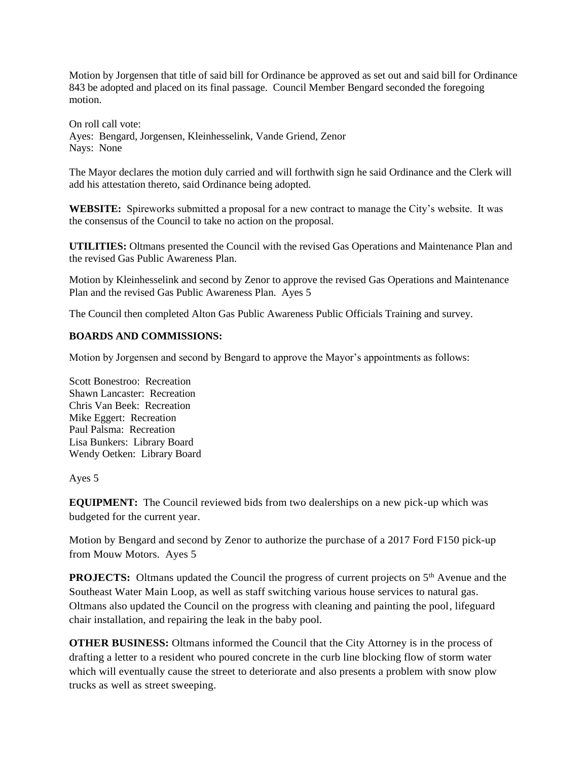Motion by Jorgensen that title of said bill for Ordinance be approved as set out and said bill for Ordinance 843 be adopted and placed on its final passage. Council Member Bengard seconded the foregoing motion.

On roll call vote: Ayes: Bengard, Jorgensen, Kleinhesselink, Vande Griend, Zenor Nays: None

The Mayor declares the motion duly carried and will forthwith sign he said Ordinance and the Clerk will add his attestation thereto, said Ordinance being adopted.

**WEBSITE:** Spireworks submitted a proposal for a new contract to manage the City's website. It was the consensus of the Council to take no action on the proposal.

**UTILITIES:** Oltmans presented the Council with the revised Gas Operations and Maintenance Plan and the revised Gas Public Awareness Plan.

Motion by Kleinhesselink and second by Zenor to approve the revised Gas Operations and Maintenance Plan and the revised Gas Public Awareness Plan. Ayes 5

The Council then completed Alton Gas Public Awareness Public Officials Training and survey.

### **BOARDS AND COMMISSIONS:**

Motion by Jorgensen and second by Bengard to approve the Mayor's appointments as follows:

Scott Bonestroo: Recreation Shawn Lancaster: Recreation Chris Van Beek: Recreation Mike Eggert: Recreation Paul Palsma: Recreation Lisa Bunkers: Library Board Wendy Oetken: Library Board

Ayes 5

**EQUIPMENT:** The Council reviewed bids from two dealerships on a new pick-up which was budgeted for the current year.

Motion by Bengard and second by Zenor to authorize the purchase of a 2017 Ford F150 pick-up from Mouw Motors. Ayes 5

**PROJECTS:** Oltmans updated the Council the progress of current projects on 5<sup>th</sup> Avenue and the Southeast Water Main Loop, as well as staff switching various house services to natural gas. Oltmans also updated the Council on the progress with cleaning and painting the pool, lifeguard chair installation, and repairing the leak in the baby pool.

**OTHER BUSINESS:** Oltmans informed the Council that the City Attorney is in the process of drafting a letter to a resident who poured concrete in the curb line blocking flow of storm water which will eventually cause the street to deteriorate and also presents a problem with snow plow trucks as well as street sweeping.